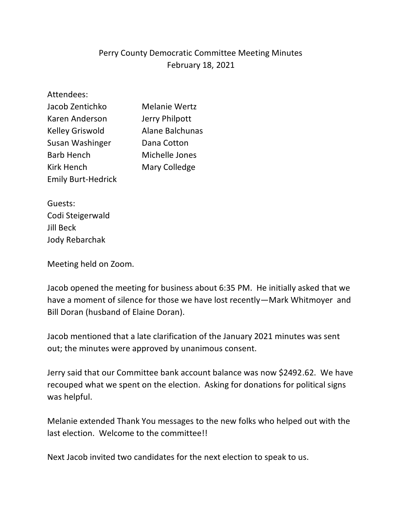# Perry County Democratic Committee Meeting Minutes February 18, 2021

Attendees:

| Jacob Zentichko           | <b>Melanie Wertz</b> |
|---------------------------|----------------------|
| Karen Anderson            | Jerry Philpott       |
| <b>Kelley Griswold</b>    | Alane Balchunas      |
| Susan Washinger           | Dana Cotton          |
| <b>Barb Hench</b>         | Michelle Jones       |
| <b>Kirk Hench</b>         | Mary Colledge        |
| <b>Emily Burt-Hedrick</b> |                      |

Guests: Codi Steigerwald Jill Beck Jody Rebarchak

Meeting held on Zoom.

Jacob opened the meeting for business about 6:35 PM. He initially asked that we have a moment of silence for those we have lost recently—Mark Whitmoyer and Bill Doran (husband of Elaine Doran).

Jacob mentioned that a late clarification of the January 2021 minutes was sent out; the minutes were approved by unanimous consent.

Jerry said that our Committee bank account balance was now \$2492.62. We have recouped what we spent on the election. Asking for donations for political signs was helpful.

Melanie extended Thank You messages to the new folks who helped out with the last election. Welcome to the committee!!

Next Jacob invited two candidates for the next election to speak to us.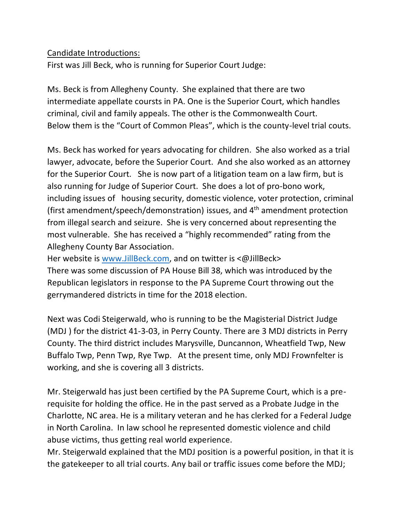### Candidate Introductions:

First was Jill Beck, who is running for Superior Court Judge:

Ms. Beck is from Allegheny County. She explained that there are two intermediate appellate coursts in PA. One is the Superior Court, which handles criminal, civil and family appeals. The other is the Commonwealth Court. Below them is the "Court of Common Pleas", which is the county-level trial couts.

Ms. Beck has worked for years advocating for children. She also worked as a trial lawyer, advocate, before the Superior Court. And she also worked as an attorney for the Superior Court. She is now part of a litigation team on a law firm, but is also running for Judge of Superior Court. She does a lot of pro-bono work, including issues of housing security, domestic violence, voter protection, criminal (first amendment/speech/demonstration) issues, and 4th amendment protection from illegal search and seizure. She is very concerned about representing the most vulnerable. She has received a "highly recommended" rating from the Allegheny County Bar Association.

Her website is [www.JillBeck.com,](http://www.jillbeck.com/) and on twitter is <@JillBeck> There was some discussion of PA House Bill 38, which was introduced by the Republican legislators in response to the PA Supreme Court throwing out the gerrymandered districts in time for the 2018 election.

Next was Codi Steigerwald, who is running to be the Magisterial District Judge (MDJ ) for the district 41-3-03, in Perry County. There are 3 MDJ districts in Perry County. The third district includes Marysville, Duncannon, Wheatfield Twp, New Buffalo Twp, Penn Twp, Rye Twp. At the present time, only MDJ Frownfelter is working, and she is covering all 3 districts.

Mr. Steigerwald has just been certified by the PA Supreme Court, which is a prerequisite for holding the office. He in the past served as a Probate Judge in the Charlotte, NC area. He is a military veteran and he has clerked for a Federal Judge in North Carolina. In law school he represented domestic violence and child abuse victims, thus getting real world experience.

Mr. Steigerwald explained that the MDJ position is a powerful position, in that it is the gatekeeper to all trial courts. Any bail or traffic issues come before the MDJ;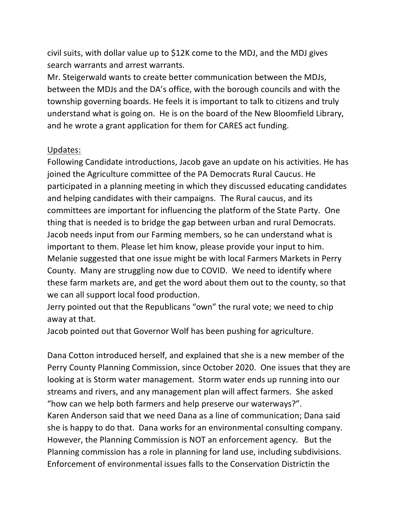civil suits, with dollar value up to \$12K come to the MDJ, and the MDJ gives search warrants and arrest warrants.

Mr. Steigerwald wants to create better communication between the MDJs, between the MDJs and the DA's office, with the borough councils and with the township governing boards. He feels it is important to talk to citizens and truly understand what is going on. He is on the board of the New Bloomfield Library, and he wrote a grant application for them for CARES act funding.

### Updates:

Following Candidate introductions, Jacob gave an update on his activities. He has joined the Agriculture committee of the PA Democrats Rural Caucus. He participated in a planning meeting in which they discussed educating candidates and helping candidates with their campaigns. The Rural caucus, and its committees are important for influencing the platform of the State Party. One thing that is needed is to bridge the gap between urban and rural Democrats. Jacob needs input from our Farming members, so he can understand what is important to them. Please let him know, please provide your input to him. Melanie suggested that one issue might be with local Farmers Markets in Perry County. Many are struggling now due to COVID. We need to identify where these farm markets are, and get the word about them out to the county, so that we can all support local food production.

Jerry pointed out that the Republicans "own" the rural vote; we need to chip away at that.

Jacob pointed out that Governor Wolf has been pushing for agriculture.

Dana Cotton introduced herself, and explained that she is a new member of the Perry County Planning Commission, since October 2020. One issues that they are looking at is Storm water management. Storm water ends up running into our streams and rivers, and any management plan will affect farmers. She asked "how can we help both farmers and help preserve our waterways?". Karen Anderson said that we need Dana as a line of communication; Dana said she is happy to do that. Dana works for an environmental consulting company. However, the Planning Commission is NOT an enforcement agency. But the Planning commission has a role in planning for land use, including subdivisions. Enforcement of environmental issues falls to the Conservation Districtin the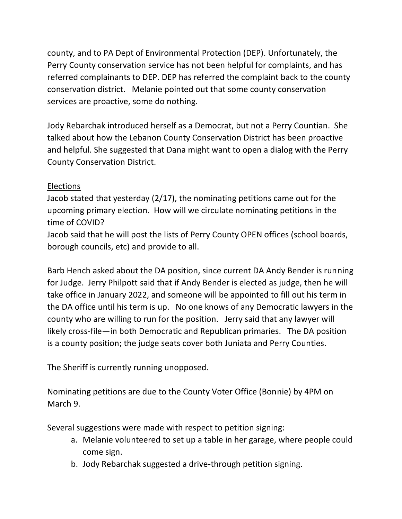county, and to PA Dept of Environmental Protection (DEP). Unfortunately, the Perry County conservation service has not been helpful for complaints, and has referred complainants to DEP. DEP has referred the complaint back to the county conservation district. Melanie pointed out that some county conservation services are proactive, some do nothing.

Jody Rebarchak introduced herself as a Democrat, but not a Perry Countian. She talked about how the Lebanon County Conservation District has been proactive and helpful. She suggested that Dana might want to open a dialog with the Perry County Conservation District.

# Elections

Jacob stated that yesterday (2/17), the nominating petitions came out for the upcoming primary election. How will we circulate nominating petitions in the time of COVID?

Jacob said that he will post the lists of Perry County OPEN offices (school boards, borough councils, etc) and provide to all.

Barb Hench asked about the DA position, since current DA Andy Bender is running for Judge. Jerry Philpott said that if Andy Bender is elected as judge, then he will take office in January 2022, and someone will be appointed to fill out his term in the DA office until his term is up. No one knows of any Democratic lawyers in the county who are willing to run for the position. Jerry said that any lawyer will likely cross-file—in both Democratic and Republican primaries. The DA position is a county position; the judge seats cover both Juniata and Perry Counties.

The Sheriff is currently running unopposed.

Nominating petitions are due to the County Voter Office (Bonnie) by 4PM on March 9.

Several suggestions were made with respect to petition signing:

- a. Melanie volunteered to set up a table in her garage, where people could come sign.
- b. Jody Rebarchak suggested a drive-through petition signing.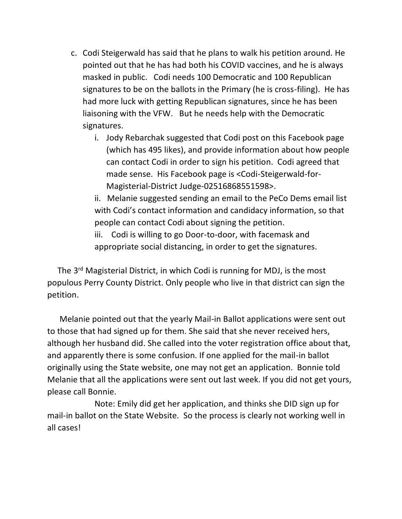- c. Codi Steigerwald has said that he plans to walk his petition around. He pointed out that he has had both his COVID vaccines, and he is always masked in public. Codi needs 100 Democratic and 100 Republican signatures to be on the ballots in the Primary (he is cross-filing). He has had more luck with getting Republican signatures, since he has been liaisoning with the VFW. But he needs help with the Democratic signatures.
	- i. Jody Rebarchak suggested that Codi post on this Facebook page (which has 495 likes), and provide information about how people can contact Codi in order to sign his petition. Codi agreed that made sense. His Facebook page is <Codi-Steigerwald-for-Magisterial-District Judge-02516868551598>.

ii. Melanie suggested sending an email to the PeCo Dems email list with Codi's contact information and candidacy information, so that people can contact Codi about signing the petition.

iii. Codi is willing to go Door-to-door, with facemask and appropriate social distancing, in order to get the signatures.

The 3<sup>rd</sup> Magisterial District, in which Codi is running for MDJ, is the most populous Perry County District. Only people who live in that district can sign the petition.

 Melanie pointed out that the yearly Mail-in Ballot applications were sent out to those that had signed up for them. She said that she never received hers, although her husband did. She called into the voter registration office about that, and apparently there is some confusion. If one applied for the mail-in ballot originally using the State website, one may not get an application. Bonnie told Melanie that all the applications were sent out last week. If you did not get yours, please call Bonnie.

Note: Emily did get her application, and thinks she DID sign up for mail-in ballot on the State Website. So the process is clearly not working well in all cases!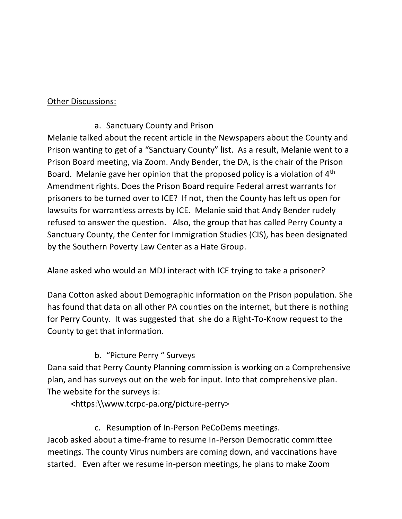### Other Discussions:

# a. Sanctuary County and Prison

Melanie talked about the recent article in the Newspapers about the County and Prison wanting to get of a "Sanctuary County" list. As a result, Melanie went to a Prison Board meeting, via Zoom. Andy Bender, the DA, is the chair of the Prison Board. Melanie gave her opinion that the proposed policy is a violation of 4th Amendment rights. Does the Prison Board require Federal arrest warrants for prisoners to be turned over to ICE? If not, then the County has left us open for lawsuits for warrantless arrests by ICE. Melanie said that Andy Bender rudely refused to answer the question. Also, the group that has called Perry County a Sanctuary County, the Center for Immigration Studies (CIS), has been designated by the Southern Poverty Law Center as a Hate Group.

Alane asked who would an MDJ interact with ICE trying to take a prisoner?

Dana Cotton asked about Demographic information on the Prison population. She has found that data on all other PA counties on the internet, but there is nothing for Perry County. It was suggested that she do a Right-To-Know request to the County to get that information.

# b. "Picture Perry " Surveys

Dana said that Perry County Planning commission is working on a Comprehensive plan, and has surveys out on the web for input. Into that comprehensive plan. The website for the surveys is:

<https:\\www.tcrpc-pa.org/picture-perry>

# c. Resumption of In-Person PeCoDems meetings.

Jacob asked about a time-frame to resume In-Person Democratic committee meetings. The county Virus numbers are coming down, and vaccinations have started. Even after we resume in-person meetings, he plans to make Zoom